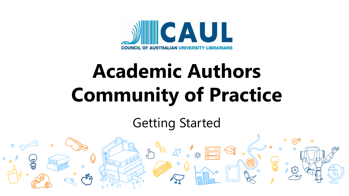

# **Academic Authors Community of Practice**

## Getting Started

Ing

 $\frac{2}{3}$   $\frac{1}{3}$   $\frac{1}{3}$   $\frac{1}{3}$   $\frac{1}{3}$   $\frac{1}{3}$   $\frac{1}{3}$   $\frac{1}{3}$   $\frac{1}{3}$   $\frac{1}{3}$   $\frac{1}{3}$   $\frac{1}{3}$   $\frac{1}{3}$   $\frac{1}{3}$   $\frac{1}{3}$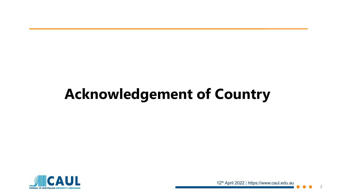# **Acknowledgement of Country**

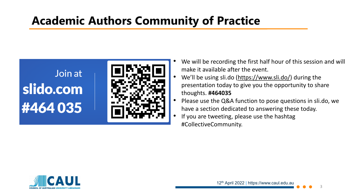### **Academic Authors Community of Practice**



- We will be recording the first half hour of this session and will make it available after the event.
- We'll be using sli.do ([https://www.sli.do/\)](https://www.sli.do/) during the presentation today to give you the opportunity to share thoughts. **#464035**
- Please use the Q&A function to pose questions in sli.do, we have a section dedicated to answering these today.
- If you are tweeting, please use the hashtag #CollectiveCommunity.

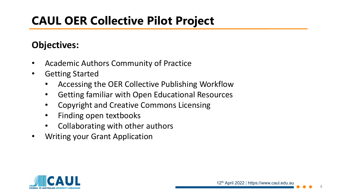### **CAUL OER Collective Pilot Project**

### **Objectives:**

- Academic Authors Community of Practice
- Getting Started
	- Accessing the OER Collective Publishing Workflow
	- Getting familiar with Open Educational Resources
	- Copyright and Creative Commons Licensing
	- Finding open textbooks
	- Collaborating with other authors
- Writing your Grant Application

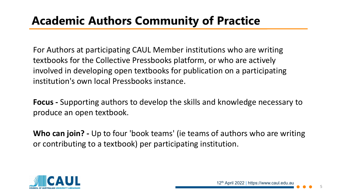For Authors at participating CAUL Member institutions who are writing textbooks for the Collective Pressbooks platform, or who are actively involved in developing open textbooks for publication on a participating institution's own local Pressbooks instance.

**Focus -** Supporting authors to develop the skills and knowledge necessary to produce an open textbook.

**Who can join? -** Up to four 'book teams' (ie teams of authors who are writing or contributing to a textbook) per participating institution.

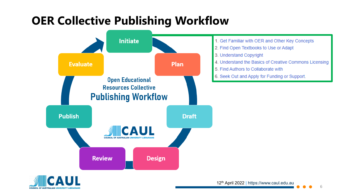### **OER Collective Publishing Workflow**





12th April 2022 | https://www.caul.edu.au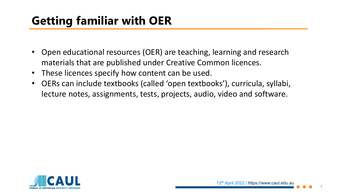## **Getting familiar with OER**

- Open educational resources (OER) are teaching, learning and research materials that are published under Creative Common licences.
- These licences specify how content can be used.
- OERs can include textbooks (called 'open textbooks'), curricula, syllabi, lecture notes, assignments, tests, projects, audio, video and software.

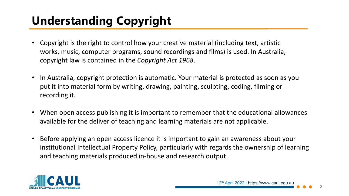# **Understanding Copyright**

- Copyright is the right to control how your creative material (including text, artistic works, music, computer programs, sound recordings and films) is used. In Australia, copyright law is contained in the *Copyright Act 1968*.
- In Australia, copyright protection is automatic. Your material is protected as soon as you put it into material form by writing, drawing, painting, sculpting, coding, filming or recording it.
- When open access publishing it is important to remember that the educational allowances available for the deliver of teaching and learning materials are not applicable.
- Before applying an open access licence it is important to gain an awareness about your institutional Intellectual Property Policy, particularly with regards the ownership of learning and teaching materials produced in-house and research output.

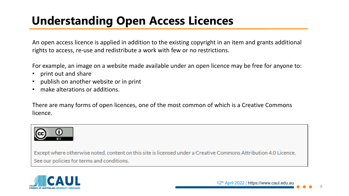An open access licence is applied in addition to the existing copyright in an item and grants additional rights to access, re-use and redistribute a work with few or no restrictions.

For example, an image on a website made available under an open licence may be free for anyone to:

- print out and share
- publish on another website or in print
- make alterations or additions.

There are many forms of open licences, one of the most common of which is a Creative Commons licence.



Except where otherwise noted, content on this site is licensed under a Creative Commons Attribution 4.0 Licence. See our policies for terms and conditions.



 $\circ$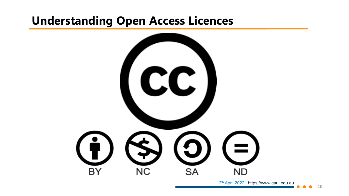

12<sup>th</sup> April 2022 | https://www.caul.edu.au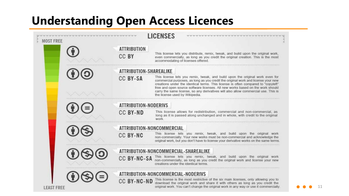| <b>MOST FREE</b>  |  |                                      | <b>LICENSES</b>                                                                                                                                                                                                                                                                                                                                                                                                                                                   |
|-------------------|--|--------------------------------------|-------------------------------------------------------------------------------------------------------------------------------------------------------------------------------------------------------------------------------------------------------------------------------------------------------------------------------------------------------------------------------------------------------------------------------------------------------------------|
|                   |  | <b>ATTRIBUTION</b><br>CC BY          | This license lets you distribute, remix, tweak, and build upon the original work,<br>even commercially, as long as you credit the original creation. This is the most<br>accommodating of licenses offered.                                                                                                                                                                                                                                                       |
|                   |  | ATTRIBUTION-SHAREALIKE               |                                                                                                                                                                                                                                                                                                                                                                                                                                                                   |
|                   |  | <b>CC BY-SA</b>                      | This license lets you remix, tweak, and build upon the original work even for<br>commercial purposes, as long as you credit the original work and license your new<br>creations under the identical terms. This license is often compared to "copyleft"<br>free and open source software licenses. All new works based on the work should<br>carry the same license, so any derivatives will also allow commercial use. This is<br>the license used by Wikipedia. |
|                   |  | <b>ATTRIBUTION-NODERIVS</b>          |                                                                                                                                                                                                                                                                                                                                                                                                                                                                   |
|                   |  | <b>CC BY-ND</b>                      | This license allows for redistribution, commercial and non-commercial, as<br>long as it is passed along unchanged and in whole, with credit to the original<br>work                                                                                                                                                                                                                                                                                               |
|                   |  | ATTRIBUTION-NONCOMMERCIAL            |                                                                                                                                                                                                                                                                                                                                                                                                                                                                   |
|                   |  | <b>CC BY-NC</b>                      | This license lets you remix, tweak, and build upon the original work<br>non-commercially. Your new works must be non-commercial and acknowledge the<br>original work, but you don't have to license your derivative works on the same terms.                                                                                                                                                                                                                      |
| <b>LEAST FREE</b> |  | ATTRIBUTION-NONCOMMERCIAL-SHAREALIKE |                                                                                                                                                                                                                                                                                                                                                                                                                                                                   |
|                   |  | <b>CC BY-NC-SA</b>                   | This license lets you remix, tweak, and build upon the original work<br>non-commercially, as long as you credit the original work and license your new<br>creations under the identical terms.                                                                                                                                                                                                                                                                    |
|                   |  | ATTRIBUTION-NONCOMMERCIAL-NODERIVS   |                                                                                                                                                                                                                                                                                                                                                                                                                                                                   |
|                   |  | <b>CC BY-NC-ND</b>                   | This license is the most restrictive of the six main licenses, only allowing you to<br>download the original work and share it with others as long as you credit the<br>original work. You can't change the original work in any way or use it commercially.                                                                                                                                                                                                      |

-11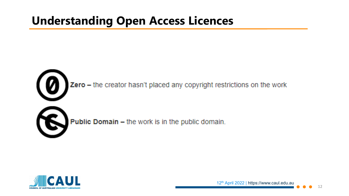

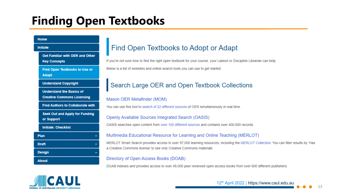### **Finding Open Textbooks**

| <b>Home</b>      |                                                                      |              |
|------------------|----------------------------------------------------------------------|--------------|
|                  | <b>Initiate</b>                                                      |              |
|                  | <b>Get Familiar with OER and Other</b><br><b>Key Concepts</b>        | If you       |
|                  | Find Open Textbooks to Use or<br><b>Adapt</b>                        | <b>Below</b> |
|                  | <b>Understand Copyright</b>                                          |              |
|                  | <b>Understand the Basics of</b><br><b>Creative Commons Licensing</b> | Mas          |
|                  | <b>Find Authors to Collaborate with</b>                              | You c        |
|                  | <b>Seek Out and Apply for Funding</b><br>or Support                  | Ope          |
|                  | <b>Initiate: Checklist</b>                                           | OASI:        |
| <b>Plan</b><br>÷ |                                                                      | Mult         |
| <b>Draft</b>     |                                                                      | <b>MERI</b>  |
|                  | <b>Design</b>                                                        | a Cre        |
|                  | <b>About</b>                                                         | Dire         |
|                  |                                                                      | ----         |

### ind Open Textbooks to Adopt or Adapt

i're not sure how to find the right open textbook for your course, your Liaison or Discipline Librarian can help. w is a list of websites and online search tools you can use to get started.

### earch Large OER and Open Textbook Collections

### son OER Metafinder (MOM)

can use this tool to search of 22 different sources of OER simultaneously in real time.

#### enly Available Sources Integrated Search (OASIS)

IS searches open content from over 100 different sources and contains over 400,000 records.

#### timedia Educational Resource for Learning and Online Teaching (MERLOT)

LOT Smart Search provides access to over 97,000 learning resources, including the MERLOT Collection. You can filter results by 'Has eative Commons license' to see only Creative Commons materials.

#### ctory of Open Access Books (DOAB)

DOAB indexes and provides access to over 49,000 peer reviewed open access books from over 600 different publishers.



12th April 2022 | https://www.caul.edu.au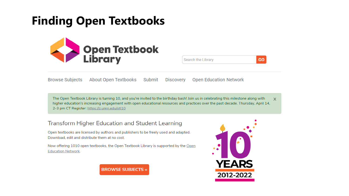### **Finding Open Textbooks**



| Search the Library |
|--------------------|
|--------------------|

**Browse Subjects About Open Textbooks** Submit **Open Education Network Discovery** 

The Open Textbook Library is turning 10, and you're invited to the birthday bash! Join us in celebrating this milestone along with  $\mathbf{x}$ higher education's increasing engagement with open educational resources and practices over the past decade. Thursday, April 14, 2-3 pm CT Register: https://z.umn.edu/otl10

### **Transform Higher Education and Student Learning**

Open textbooks are licensed by authors and publishers to be freely used and adapted. Download, edit and distribute them at no cost.

Now offering 1010 open textbooks, the Open Textbook Library is supported by the Open **Education Network.** 





**GO**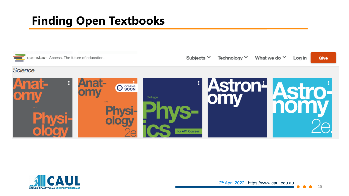### **Finding Open Textbooks**



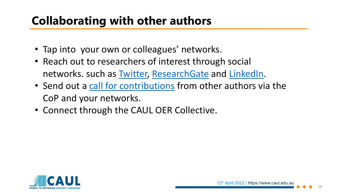### **Collaborating with other authors**

- Tap into your own or colleagues' networks.
- Reach out to researchers of interest through social networks. such as [Twitter,](https://twitter.com/) [ResearchGate](https://www.researchgate.net/) and [LinkedIn](https://au.linkedin.com/).
- Send out a [call for contributions](https://caul.libguides.com/oer-collective-publishing-workflow/plan/call-for-contributions) from other authors via the CoP and your networks.
- Connect through the CAUL OER Collective.

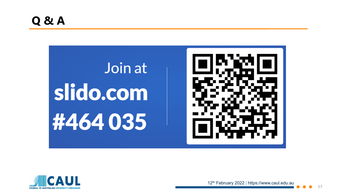